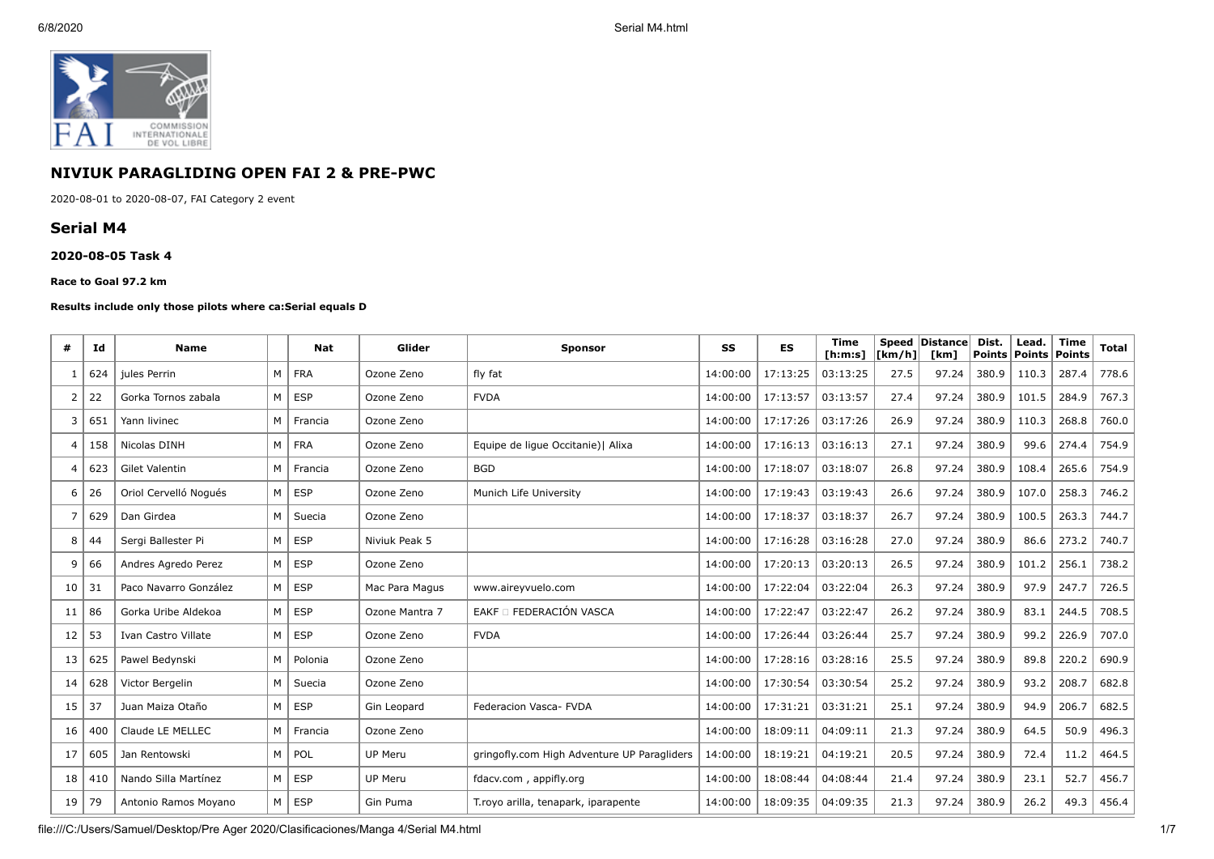

# **NIVIUK PARAGLIDING OPEN FAI 2 & PRE-PWC**

2020-08-01 to 2020-08-07, FAI Category 2 event

# **Serial M4**

#### **2020-08-05 Task 4**

#### **Race to Goal 97.2 km**

#### **Results include only those pilots where ca:Serial equals D**

| #  | Ιd  | <b>Name</b>           |   | Nat        | Glider         | <b>Sponsor</b>                              | SS       | <b>ES</b> | <b>Time</b><br>[ <b>h</b> : <b>m</b> : <b>s</b> ] | [km/h] | Speed Distance<br>[km] | Dist.<br><b>Points</b> | Lead.<br>Points | <b>Time</b><br>Points | <b>Total</b> |
|----|-----|-----------------------|---|------------|----------------|---------------------------------------------|----------|-----------|---------------------------------------------------|--------|------------------------|------------------------|-----------------|-----------------------|--------------|
| -1 | 624 | jules Perrin          | M | <b>FRA</b> | Ozone Zeno     | fly fat                                     | 14:00:00 | 17:13:25  | 03:13:25                                          | 27.5   | 97.24                  | 380.9                  | 110.3           | 287.4                 | 778.6        |
| 2  | 22  | Gorka Tornos zabala   | M | <b>ESP</b> | Ozone Zeno     | <b>FVDA</b>                                 | 14:00:00 | 17:13:57  | 03:13:57                                          | 27.4   | 97.24                  | 380.9                  | 101.5           | 284.9                 | 767.3        |
| 3  | 651 | Yann livinec          | M | Francia    | Ozone Zeno     |                                             | 14:00:00 | 17:17:26  | 03:17:26                                          | 26.9   | 97.24                  | 380.9                  | 110.3           | 268.8                 | 760.0        |
| 4  | 158 | Nicolas DINH          | M | <b>FRA</b> | Ozone Zeno     | Equipe de lique Occitanie)   Alixa          | 14:00:00 | 17:16:13  | 03:16:13                                          | 27.1   | 97.24                  | 380.9                  | 99.6            | 274.4                 | 754.9        |
| 4  | 623 | <b>Gilet Valentin</b> | M | Francia    | Ozone Zeno     | <b>BGD</b>                                  | 14:00:00 | 17:18:07  | 03:18:07                                          | 26.8   | 97.24                  | 380.9                  | 108.4           | 265.6                 | 754.9        |
| 6  | 26  | Oriol Cervelló Nogués | M | <b>ESP</b> | Ozone Zeno     | Munich Life University                      | 14:00:00 | 17:19:43  | 03:19:43                                          | 26.6   | 97.24                  | 380.9                  | 107.0           | 258.3                 | 746.2        |
| 7  | 629 | Dan Girdea            | M | Suecia     | Ozone Zeno     |                                             | 14:00:00 | 17:18:37  | 03:18:37                                          | 26.7   | 97.24                  | 380.9                  | 100.5           | 263.3                 | 744.7        |
| 8  | 44  | Sergi Ballester Pi    | M | <b>ESP</b> | Niviuk Peak 5  |                                             | 14:00:00 | 17:16:28  | 03:16:28                                          | 27.0   | 97.24                  | 380.9                  | 86.6            | 273.2                 | 740.7        |
| 9  | 66  | Andres Agredo Perez   | M | <b>ESP</b> | Ozone Zeno     |                                             | 14:00:00 | 17:20:13  | 03:20:13                                          | 26.5   | 97.24                  | 380.9                  | 101.2           | 256.1                 | 738.2        |
| 10 | 31  | Paco Navarro González | M | <b>ESP</b> | Mac Para Magus | www.aireyvuelo.com                          | 14:00:00 | 17:22:04  | 03:22:04                                          | 26.3   | 97.24                  | 380.9                  | 97.9            | 247.7                 | 726.5        |
| 11 | 86  | Gorka Uribe Aldekoa   | M | <b>ESP</b> | Ozone Mantra 7 | EAKF O FEDERACIÓN VASCA                     | 14:00:00 | 17:22:47  | 03:22:47                                          | 26.2   | 97.24                  | 380.9                  | 83.1            | 244.5                 | 708.5        |
| 12 | 53  | Ivan Castro Villate   | M | <b>ESP</b> | Ozone Zeno     | <b>FVDA</b>                                 | 14:00:00 | 17:26:44  | 03:26:44                                          | 25.7   | 97.24                  | 380.9                  | 99.2            | 226.9                 | 707.0        |
| 13 | 625 | Pawel Bedynski        | M | Polonia    | Ozone Zeno     |                                             | 14:00:00 | 17:28:16  | 03:28:16                                          | 25.5   | 97.24                  | 380.9                  | 89.8            | 220.2                 | 690.9        |
| 14 | 628 | Victor Bergelin       | M | Suecia     | Ozone Zeno     |                                             | 14:00:00 | 17:30:54  | 03:30:54                                          | 25.2   | 97.24                  | 380.9                  | 93.2            | 208.7                 | 682.8        |
| 15 | 37  | Juan Maiza Otaño      | M | <b>ESP</b> | Gin Leopard    | Federacion Vasca- FVDA                      | 14:00:00 | 17:31:21  | 03:31:21                                          | 25.1   | 97.24                  | 380.9                  | 94.9            | 206.7                 | 682.5        |
| 16 | 400 | Claude LE MELLEC      | M | Francia    | Ozone Zeno     |                                             | 14:00:00 | 18:09:11  | 04:09:11                                          | 21.3   | 97.24                  | 380.9                  | 64.5            | 50.9                  | 496.3        |
| 17 | 605 | Jan Rentowski         | M | POL        | UP Meru        | gringofly.com High Adventure UP Paragliders | 14:00:00 | 18:19:21  | 04:19:21                                          | 20.5   | 97.24                  | 380.9                  | 72.4            | 11.2                  | 464.5        |
| 18 | 410 | Nando Silla Martínez  | M | <b>ESP</b> | UP Meru        | fdacv.com, appifly.org                      | 14:00:00 | 18:08:44  | 04:08:44                                          | 21.4   | 97.24                  | 380.9                  | 23.1            | 52.7                  | 456.7        |
| 19 | 79  | Antonio Ramos Moyano  | M | <b>ESP</b> | Gin Puma       | T.royo arilla, tenapark, iparapente         | 14:00:00 | 18:09:35  | 04:09:35                                          | 21.3   | 97.24                  | 380.9                  | 26.2            | 49.3                  | 456.4        |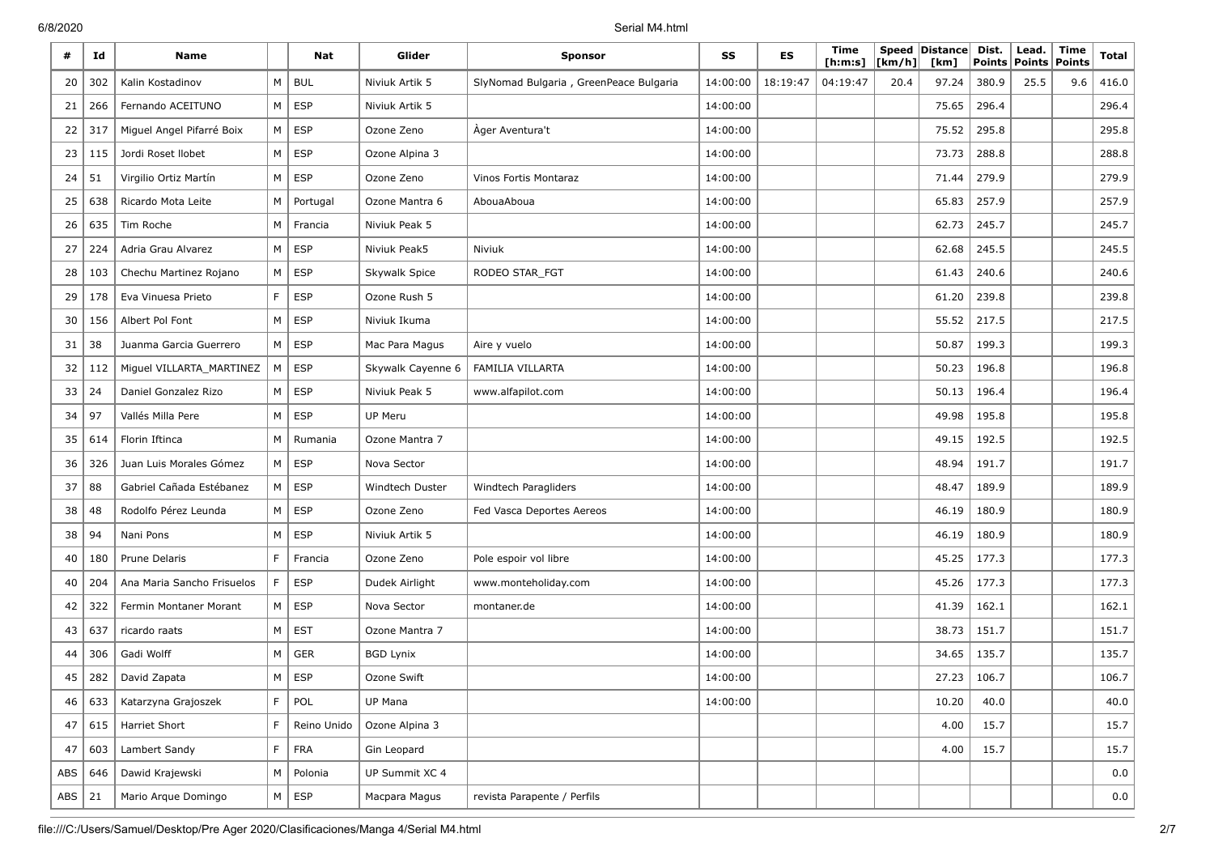6/8/2020 Serial M4.html

| #   | Id  | <b>Name</b>                |             | Nat         | Glider               | <b>Sponsor</b>                         | SS       | ES       | <b>Time</b><br>[ <b>h</b> : <b>m</b> : <b>s</b> ] | [km/h] | Speed   Distance  <br>[km] | Dist. | Lead.<br>Points   Points | <b>Time</b><br>Points | Total   |
|-----|-----|----------------------------|-------------|-------------|----------------------|----------------------------------------|----------|----------|---------------------------------------------------|--------|----------------------------|-------|--------------------------|-----------------------|---------|
| 20  | 302 | Kalin Kostadinov           | M           | <b>BUL</b>  | Niviuk Artik 5       | SlyNomad Bulgaria, GreenPeace Bulgaria | 14:00:00 | 18:19:47 | 04:19:47                                          | 20.4   | 97.24                      | 380.9 | 25.5                     | 9.6                   | 416.0   |
| 21  | 266 | Fernando ACEITUNO          | M           | <b>ESP</b>  | Niviuk Artik 5       |                                        | 14:00:00 |          |                                                   |        | 75.65                      | 296.4 |                          |                       | 296.4   |
| 22  | 317 | Miguel Angel Pifarré Boix  | M           | <b>ESP</b>  | Ozone Zeno           | Ager Aventura't                        | 14:00:00 |          |                                                   |        | 75.52                      | 295.8 |                          |                       | 295.8   |
| 23  | 115 | Jordi Roset Ilobet         | M           | <b>ESP</b>  | Ozone Alpina 3       |                                        | 14:00:00 |          |                                                   |        | 73.73                      | 288.8 |                          |                       | 288.8   |
| 24  | 51  | Virgilio Ortiz Martín      | M           | <b>ESP</b>  | Ozone Zeno           | Vinos Fortis Montaraz                  | 14:00:00 |          |                                                   |        | 71.44                      | 279.9 |                          |                       | 279.9   |
| 25  | 638 | Ricardo Mota Leite         | м           | Portugal    | Ozone Mantra 6       | AbouaAboua                             | 14:00:00 |          |                                                   |        | 65.83                      | 257.9 |                          |                       | 257.9   |
| 26  | 635 | Tim Roche                  | М           | Francia     | Niviuk Peak 5        |                                        | 14:00:00 |          |                                                   |        | 62.73                      | 245.7 |                          |                       | 245.7   |
| 27  | 224 | Adria Grau Alvarez         | M           | <b>ESP</b>  | Niviuk Peak5         | Niviuk                                 | 14:00:00 |          |                                                   |        | 62.68                      | 245.5 |                          |                       | 245.5   |
| 28  | 103 | Chechu Martinez Rojano     | M           | <b>ESP</b>  | <b>Skywalk Spice</b> | RODEO STAR_FGT                         | 14:00:00 |          |                                                   |        | 61.43                      | 240.6 |                          |                       | 240.6   |
| 29  | 178 | Eva Vinuesa Prieto         | F           | <b>ESP</b>  | Ozone Rush 5         |                                        | 14:00:00 |          |                                                   |        | 61.20                      | 239.8 |                          |                       | 239.8   |
| 30  | 156 | Albert Pol Font            | М           | <b>ESP</b>  | Niviuk Ikuma         |                                        | 14:00:00 |          |                                                   |        | 55.52                      | 217.5 |                          |                       | 217.5   |
| 31  | 38  | Juanma Garcia Guerrero     | M           | <b>ESP</b>  | Mac Para Magus       | Aire y vuelo                           | 14:00:00 |          |                                                   |        | 50.87                      | 199.3 |                          |                       | 199.3   |
| 32  | 112 | Miguel VILLARTA_MARTINEZ   | M           | <b>ESP</b>  | Skywalk Cayenne 6    | FAMILIA VILLARTA                       | 14:00:00 |          |                                                   |        | 50.23                      | 196.8 |                          |                       | 196.8   |
| 33  | 24  | Daniel Gonzalez Rizo       | M           | <b>ESP</b>  | Niviuk Peak 5        | www.alfapilot.com                      | 14:00:00 |          |                                                   |        | 50.13                      | 196.4 |                          |                       | 196.4   |
| 34  | 97  | Vallés Milla Pere          | M           | <b>ESP</b>  | UP Meru              |                                        | 14:00:00 |          |                                                   |        | 49.98                      | 195.8 |                          |                       | 195.8   |
| 35  | 614 | Florin Iftinca             | M           | Rumania     | Ozone Mantra 7       |                                        | 14:00:00 |          |                                                   |        | 49.15                      | 192.5 |                          |                       | 192.5   |
| 36  | 326 | Juan Luis Morales Gómez    | M           | <b>ESP</b>  | Nova Sector          |                                        | 14:00:00 |          |                                                   |        | 48.94                      | 191.7 |                          |                       | 191.7   |
| 37  | 88  | Gabriel Cañada Estébanez   | M           | <b>ESP</b>  | Windtech Duster      | Windtech Paragliders                   | 14:00:00 |          |                                                   |        | 48.47                      | 189.9 |                          |                       | 189.9   |
| 38  | 48  | Rodolfo Pérez Leunda       | M           | ESP         | Ozone Zeno           | Fed Vasca Deportes Aereos              | 14:00:00 |          |                                                   |        | 46.19                      | 180.9 |                          |                       | 180.9   |
| 38  | 94  | Nani Pons                  | M           | ESP         | Niviuk Artik 5       |                                        | 14:00:00 |          |                                                   |        | 46.19                      | 180.9 |                          |                       | 180.9   |
| 40  | 180 | Prune Delaris              | $\mathsf F$ | Francia     | Ozone Zeno           | Pole espoir vol libre                  | 14:00:00 |          |                                                   |        | 45.25                      | 177.3 |                          |                       | 177.3   |
| 40  | 204 | Ana Maria Sancho Frisuelos | F           | <b>ESP</b>  | Dudek Airlight       | www.monteholiday.com                   | 14:00:00 |          |                                                   |        | 45.26                      | 177.3 |                          |                       | 177.3   |
| 42  | 322 | Fermin Montaner Morant     | M           | <b>ESP</b>  | Nova Sector          | montaner.de                            | 14:00:00 |          |                                                   |        | 41.39                      | 162.1 |                          |                       | 162.1   |
| 43  | 637 | ricardo raats              | M           | <b>EST</b>  | Ozone Mantra 7       |                                        | 14:00:00 |          |                                                   |        | 38.73                      | 151.7 |                          |                       | 151.7   |
| 44  | 306 | Gadi Wolff                 | М           | <b>GER</b>  | <b>BGD Lynix</b>     |                                        | 14:00:00 |          |                                                   |        | 34.65                      | 135.7 |                          |                       | 135.7   |
| 45  | 282 | David Zapata               | М           | <b>ESP</b>  | Ozone Swift          |                                        | 14:00:00 |          |                                                   |        | 27.23                      | 106.7 |                          |                       | 106.7   |
| 46  | 633 | Katarzyna Grajoszek        | F           | POL         | UP Mana              |                                        | 14:00:00 |          |                                                   |        | 10.20                      | 40.0  |                          |                       | 40.0    |
| 47  | 615 | Harriet Short              | F           | Reino Unido | Ozone Alpina 3       |                                        |          |          |                                                   |        | 4.00                       | 15.7  |                          |                       | 15.7    |
| 47  | 603 | Lambert Sandy              | F           | FRA         | Gin Leopard          |                                        |          |          |                                                   |        | 4.00                       | 15.7  |                          |                       | 15.7    |
| ABS | 646 | Dawid Krajewski            | M           | Polonia     | UP Summit XC 4       |                                        |          |          |                                                   |        |                            |       |                          |                       | 0.0     |
| ABS | 21  | Mario Arque Domingo        | M           | ESP         | Macpara Magus        | revista Parapente / Perfils            |          |          |                                                   |        |                            |       |                          |                       | $0.0\,$ |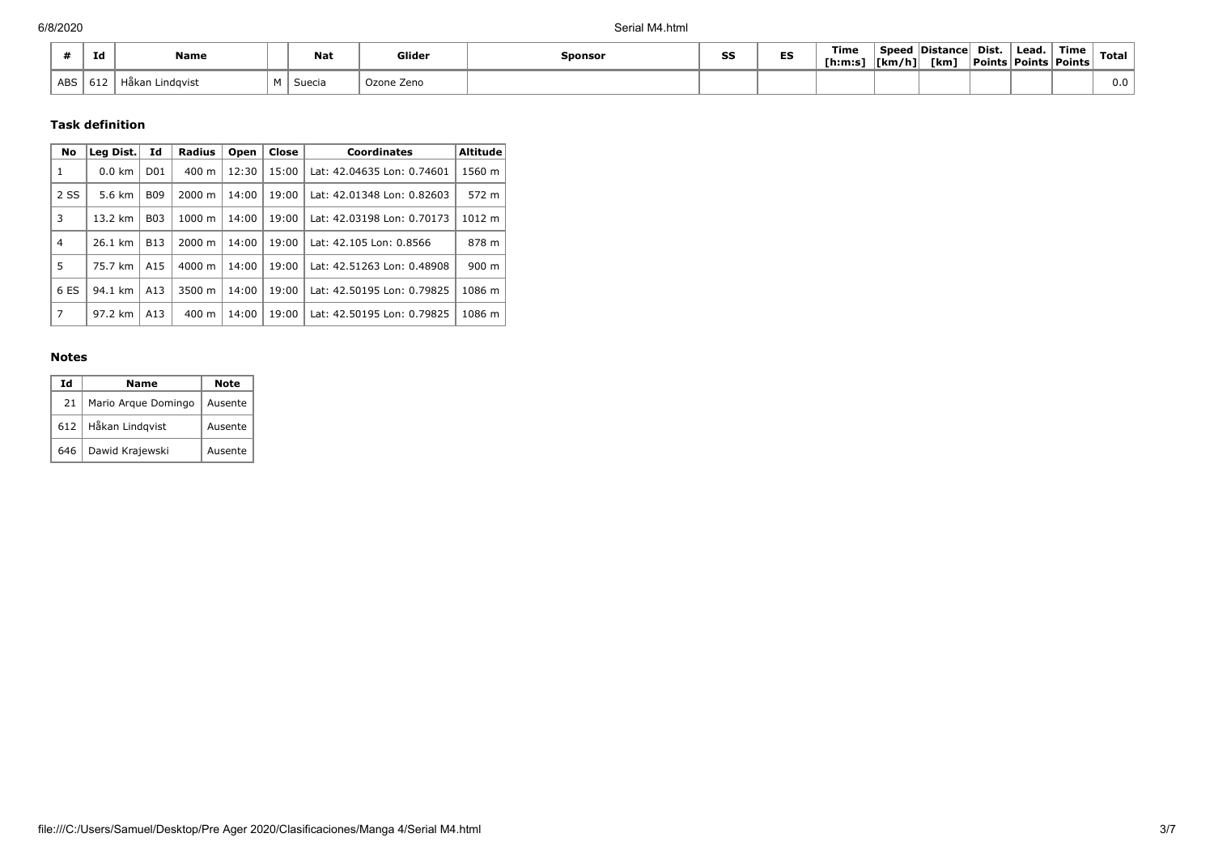|            | Id  | Name              | <b>Nat</b> | Glider     | Sponsor | SS | --<br>ES | Time<br>[ <b>h</b> : <b>m</b> : <b>s</b> ] | <b>Tkm/h1</b> | Speed Distance<br>[km] | Dist.<br>Points | Lead.<br>  Points   Points | Time | Total |
|------------|-----|-------------------|------------|------------|---------|----|----------|--------------------------------------------|---------------|------------------------|-----------------|----------------------------|------|-------|
| <b>ABS</b> | O1. | ndqvisu<br>1akan. | Suecia     | Ozone Zeno |         |    |          |                                            |               |                        |                 |                            |      | v.v   |

# **Task definition**

| No           | Leg Dist.        | Id               | Radius             | Open  | Close | <b>Coordinates</b>         | <b>Altitude</b> |
|--------------|------------------|------------------|--------------------|-------|-------|----------------------------|-----------------|
| $\mathbf{1}$ | $0.0 \text{ km}$ | D <sub>0</sub> 1 | $400 \text{ m}$    | 12:30 | 15:00 | Lat: 42.04635 Lon: 0.74601 | 1560 m          |
| 2 SS         | 5.6 km           | <b>B09</b>       | 2000 m             | 14:00 | 19:00 | Lat: 42.01348 Lon: 0.82603 | 572 m           |
| 3            | 13.2 km          | <b>B03</b>       | $1000 \;{\rm m}$   | 14:00 | 19:00 | Lat: 42.03198 Lon: 0.70173 | 1012 m          |
| 4            | 26.1 km          | <b>B13</b>       | 2000 m             | 14:00 | 19:00 | Lat: 42.105 Lon: 0.8566    | 878 m           |
| 5            | 75.7 km          | A15              | $4000 \; \text{m}$ | 14:00 | 19:00 | Lat: 42.51263 Lon: 0.48908 | 900 m           |
| 6 ES         | 94.1 km          | A13              | 3500 m             | 14:00 | 19:00 | Lat: 42.50195 Lon: 0.79825 | 1086 m          |
| 7            | 97.2 km          | A13              | $400 \text{ m}$    | 14:00 | 19:00 | Lat: 42.50195 Lon: 0.79825 | 1086 m          |

### **Notes**

| Ιd    | Name                | Note    |
|-------|---------------------|---------|
| 21    | Mario Arque Domingo | Ausente |
| 612 l | Håkan Lindgvist     | Ausente |
| 646   | Dawid Krajewski     | Ausente |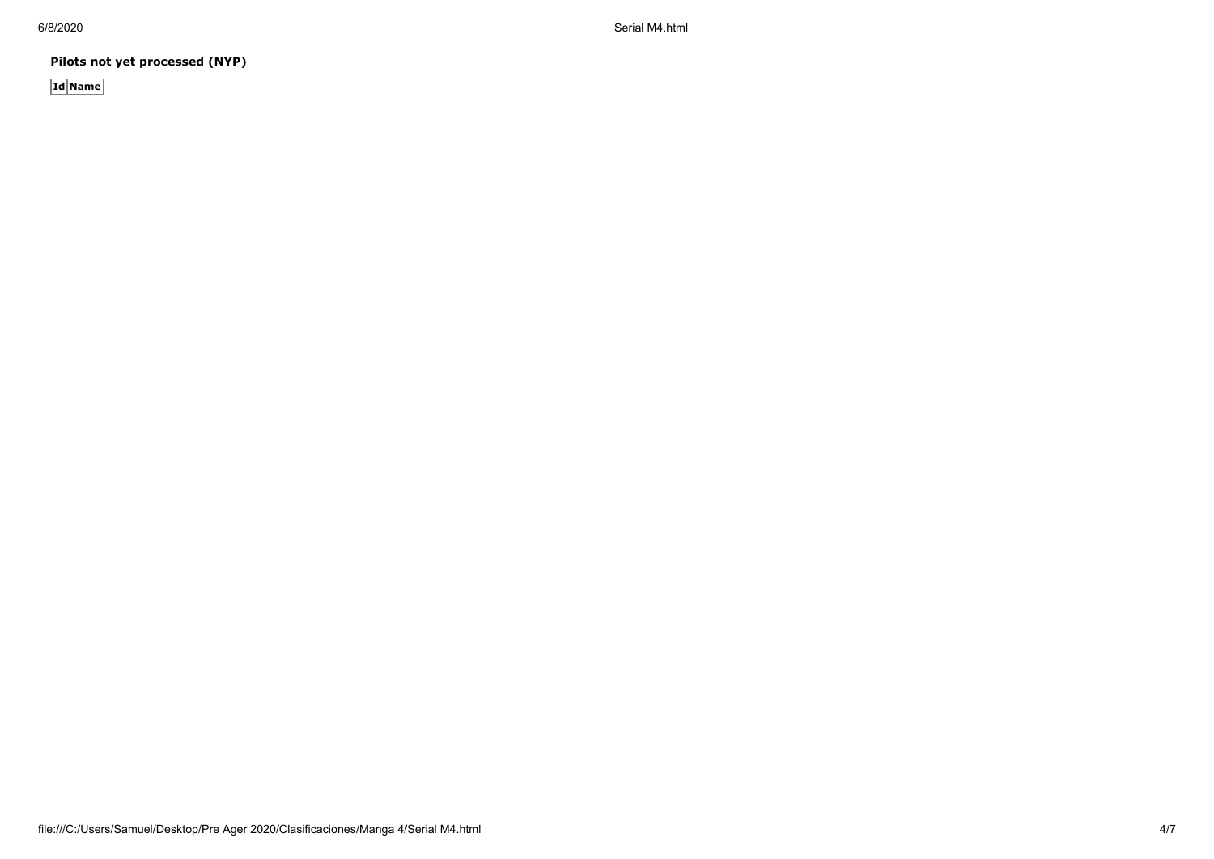6/8/2020 Serial M4.html

**Pilots not yet processed (NYP)**

**Id Name**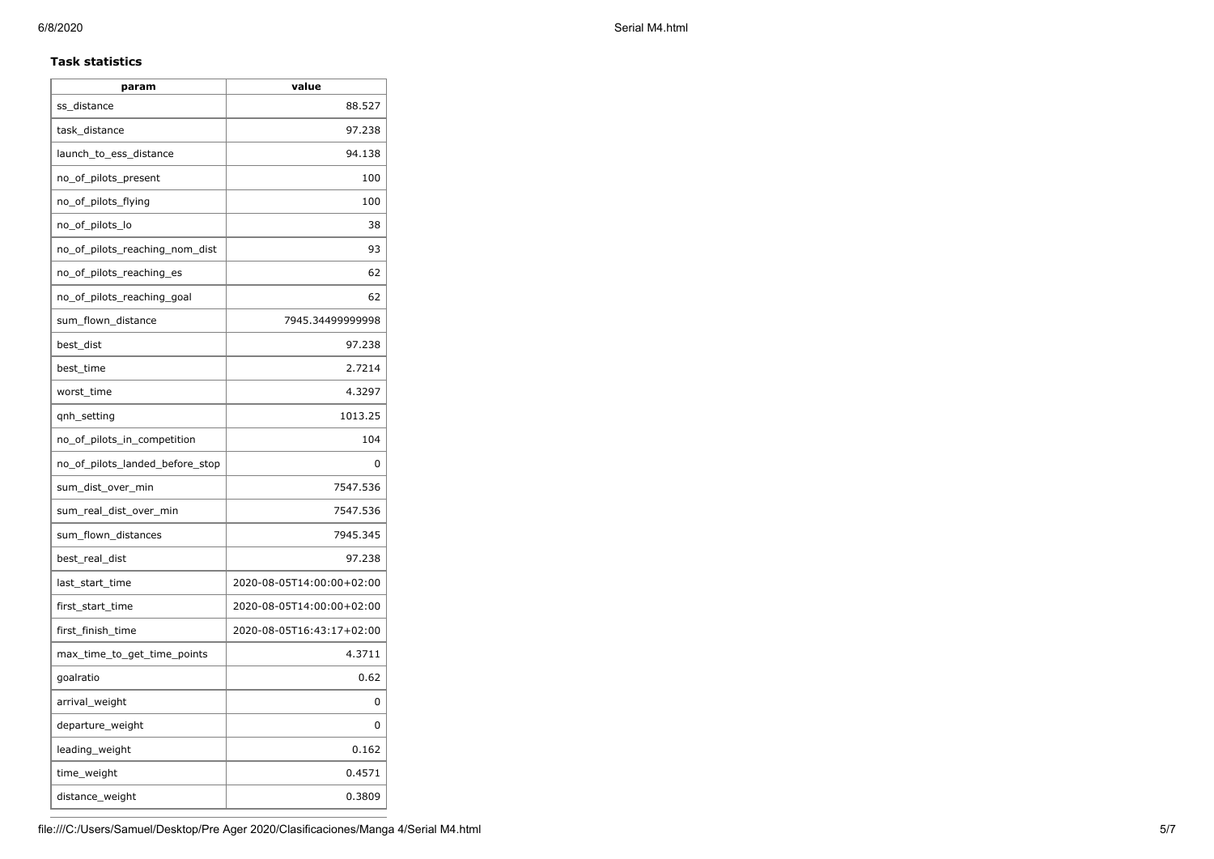### **Task statistics**

| param                           | value                     |
|---------------------------------|---------------------------|
| ss distance                     | 88.527                    |
| task_distance                   | 97.238                    |
| launch_to_ess_distance          | 94.138                    |
| no_of_pilots_present            | 100                       |
| no_of_pilots_flying             | 100                       |
| no_of_pilots_lo                 | 38                        |
| no_of_pilots_reaching_nom_dist  | 93                        |
| no_of_pilots_reaching_es        | 62                        |
| no_of_pilots_reaching_goal      | 62                        |
| sum_flown_distance              | 7945.34499999998          |
| best_dist                       | 97.238                    |
| best time                       | 2.7214                    |
| worst time                      | 4.3297                    |
| qnh_setting                     | 1013.25                   |
| no_of_pilots_in_competition     | 104                       |
| no_of_pilots_landed_before_stop | 0                         |
| sum_dist_over_min               | 7547.536                  |
| sum_real_dist_over_min          | 7547.536                  |
| sum_flown_distances             | 7945.345                  |
| best_real_dist                  | 97.238                    |
| last_start_time                 | 2020-08-05T14:00:00+02:00 |
| first_start_time                | 2020-08-05T14:00:00+02:00 |
| first_finish_time               | 2020-08-05T16:43:17+02:00 |
| max_time_to_get_time_points     | 4.3711                    |
| goalratio                       | 0.62                      |
| arrival_weight                  | 0                         |
| departure_weight                | 0                         |
| leading_weight                  | 0.162                     |
| time_weight                     | 0.4571                    |
| distance_weight                 | 0.3809                    |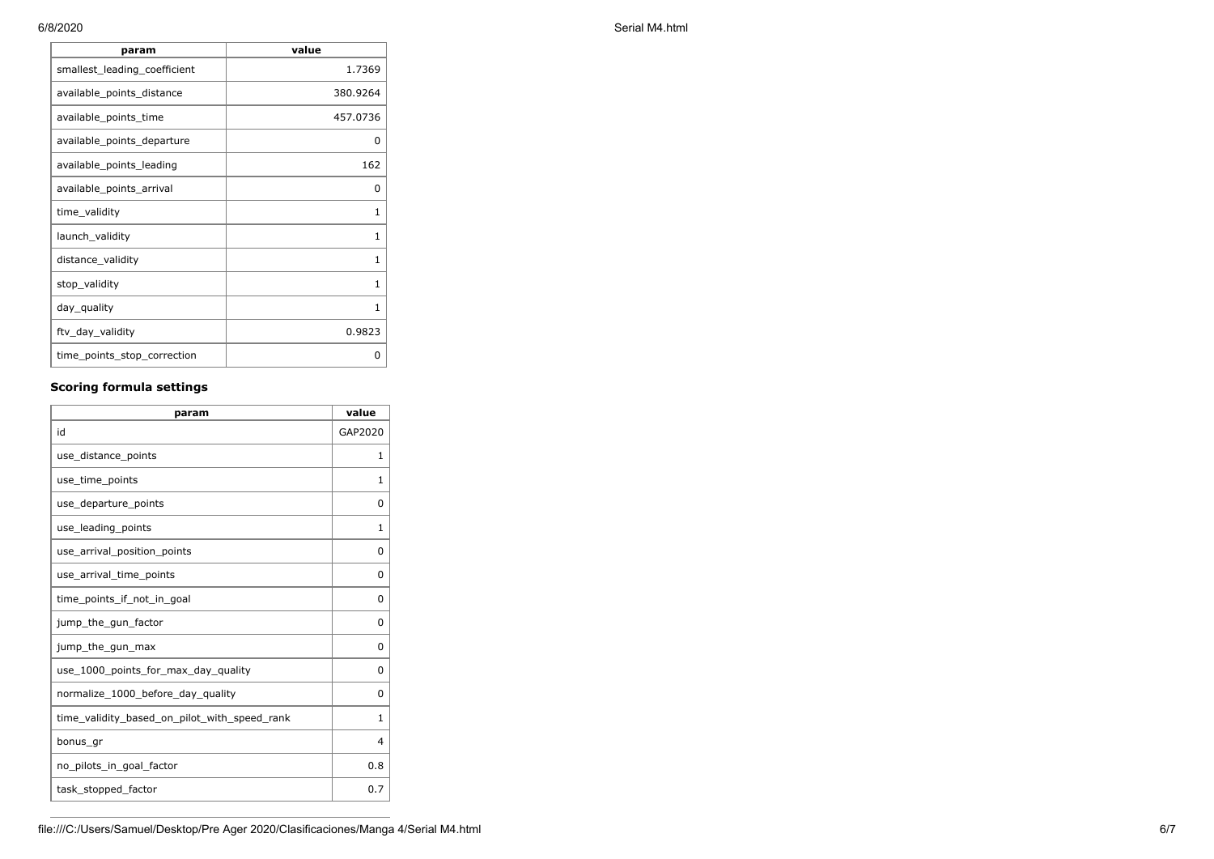| param                        | value        |
|------------------------------|--------------|
| smallest_leading_coefficient | 1.7369       |
| available_points_distance    | 380.9264     |
| available_points_time        | 457.0736     |
| available_points_departure   | 0            |
| available points leading     | 162          |
| available_points_arrival     | 0            |
| time_validity                | 1            |
| launch_validity              | 1            |
| distance_validity            | 1            |
| stop_validity                | $\mathbf{1}$ |
| day_quality                  | 1            |
| ftv_day_validity             | 0.9823       |
| time_points_stop_correction  | 0            |

# **Scoring formula settings**

| param                                        | value        |
|----------------------------------------------|--------------|
| id                                           | GAP2020      |
| use_distance_points                          | 1            |
| use_time_points                              | 1            |
| use_departure_points                         | 0            |
| use leading points                           | 1            |
| use_arrival_position_points                  | 0            |
| use_arrival_time_points                      | 0            |
| time points if not in goal                   | $\Omega$     |
| jump_the_gun_factor                          | $\Omega$     |
| jump_the_gun_max                             | 0            |
| use_1000_points_for_max_day_quality          | $\Omega$     |
| normalize_1000_before_day_quality            | 0            |
| time_validity_based_on_pilot_with_speed_rank | $\mathbf{1}$ |
| bonus_gr                                     | 4            |
| no_pilots_in_goal_factor                     | 0.8          |
| task_stopped_factor                          | 0.7          |

6/8/2020 Serial M4.html